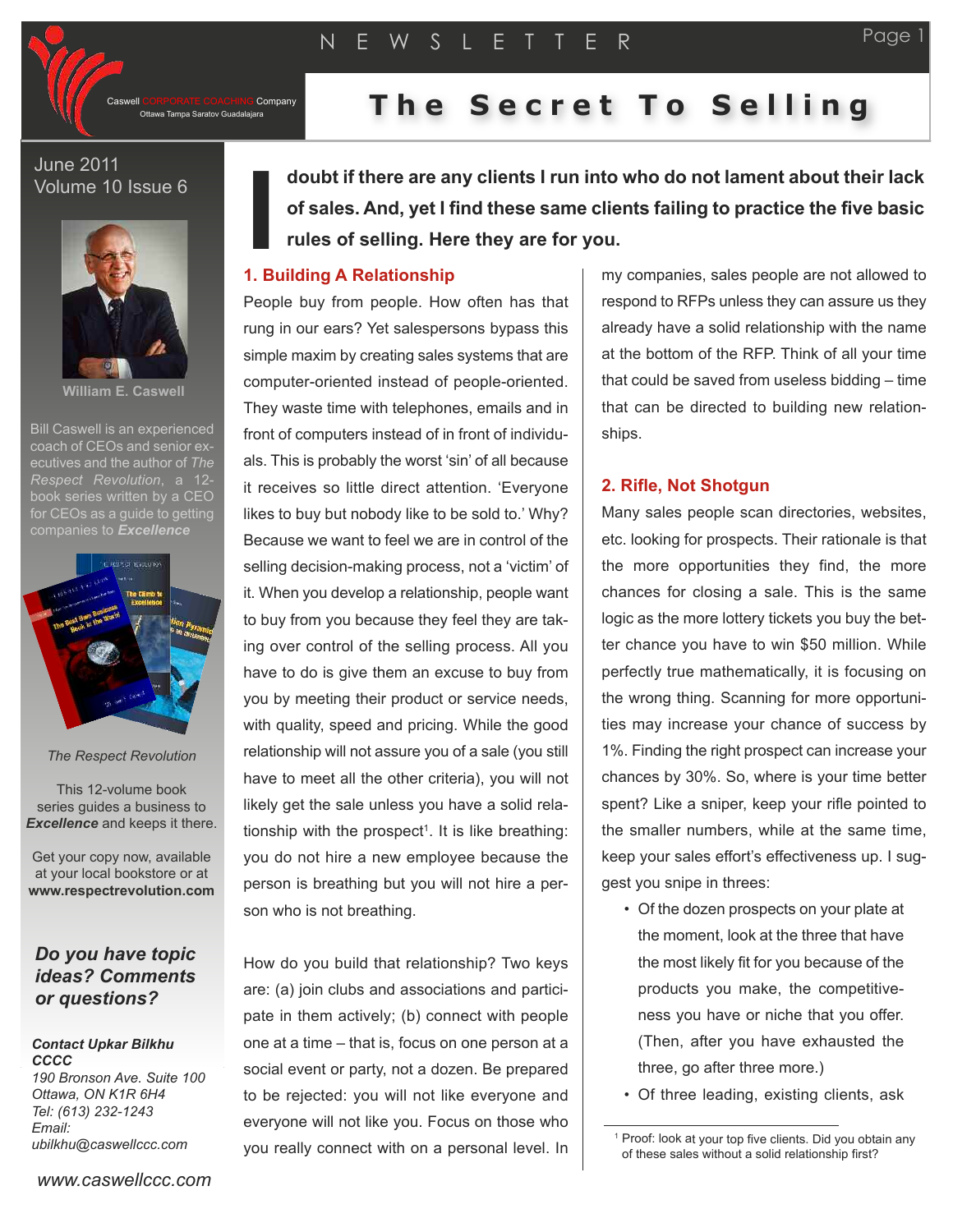CORPORATE COACHING Company<br>Ottawa Tampa Saratov Guadalajara

# **The Secret To Selling**

## June 2011 Volume 10 Issue 6



**William E. Caswell**

Bill Caswell is an experienced coach of CEOs and senior executives and the author of *The Respect Revolution*, a 12 book series written by a CEO for CEOs as a quide to getting companies to *Excellence*



*The Respect Revolution*

This 12-volume book series guides a business to *Excellence* and keeps it there.

Get your copy now, available at your local bookstore or at **www.respectrevolution.com**

# *Do you have topic ideas? Comments or questions?*

#### *Contact Upkar Bilkhu CCCC 190 Bronson Ave. Suite 100*

*Ottawa, ON K1R 6H4 Tel: (613) 232-1243 Email: ubilkhu@caswellccc.com*

*www.caswellccc.com*

**doubt if there are any clients I run into who do not lament about their lack of sales. And, yet I find these same clients failing to practice the five basic rules of selling. Here they are for you.**

# **I 1. Building A Relationship**

People buy from people. How often has that rung in our ears? Yet salespersons bypass this simple maxim by creating sales systems that are computer-oriented instead of people-oriented. They waste time with telephones, emails and in front of computers instead of in front of individuals. This is probably the worst 'sin' of all because it receives so little direct attention. 'Everyone likes to buy but nobody like to be sold to.' Why? Because we want to feel we are in control of the selling decision-making process, not a 'victim' of it. When you develop a relationship, people want to buy from you because they feel they are taking over control of the selling process. All you have to do is give them an excuse to buy from you by meeting their product or service needs, with quality, speed and pricing. While the good relationship will not assure you of a sale (you still have to meet all the other criteria), you will not likely get the sale unless you have a solid relationship with the prospect 1. It is like breathing: you do not hire a new employee because the person is breathing but you will not hire a person who is not breathing.

How do you build that relationship? Two keys are: (a) join clubs and associations and participate in them actively; (b) connect with people one at a time – that is, focus on one person at a social event or party, not a dozen. Be prepared to be rejected: you will not like everyone and everyone will not like you. Focus on those who you really connect with on a personal level. In

my companies, sales people are not allowed to respond to RFPs unless they can assure us they already have a solid relationship with the name at the bottom of the RFP. Think of all your time that could be saved from useless bidding – time that can be directed to building new relationships.

## **2. Rifle, Not Shotgun**

Many sales people scan directories, websites, etc. looking for prospects. Their rationale is that the more opportunities they find, the more chances for closing a sale. This is the same logic as the more lottery tickets you buy the better chance you have to win \$50 million. While perfectly true mathematically, it is focusing on the wrong thing. Scanning for more opportunities may increase your chance of success by 1%. Finding the right prospect can increase your chances by 30%. So, where is your time better spent? Like a sniper, keep your rifle pointed to the smaller numbers, while at the same time, keep your sales effort's effectiveness up. I suggest you snipe in threes:

- Of the dozen prospects on your plate at the moment, look at the three that have the most likely fit for you because of the products you make, the competitiveness you have or niche that you offer. (Then, after you have exhausted the three, go after three more.)
- Of three leading, existing clients, ask

<sup>&</sup>lt;sup>1</sup> Proof: look at your top five clients. Did you obtain any of these sales without <sup>a</sup> solid relationship first?